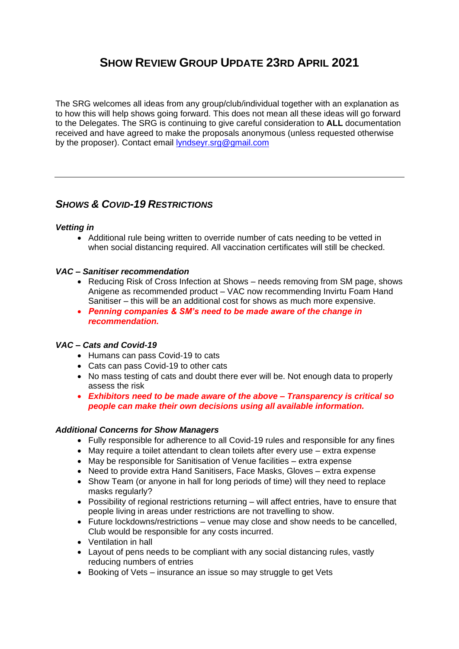# **SHOW REVIEW GROUP UPDATE 23RD APRIL 2021**

The SRG welcomes all ideas from any group/club/individual together with an explanation as to how this will help shows going forward. This does not mean all these ideas will go forward to the Delegates. The SRG is continuing to give careful consideration to **ALL** documentation received and have agreed to make the proposals anonymous (unless requested otherwise by the proposer). Contact email [lyndseyr.srg@gmail.com](mailto:lyndseyr.srg@gmail.com)

# *SHOWS & COVID-19 RESTRICTIONS*

# *Vetting in*

• Additional rule being written to override number of cats needing to be vetted in when social distancing required. All vaccination certificates will still be checked.

# *VAC – Sanitiser recommendation*

- Reducing Risk of Cross Infection at Shows needs removing from SM page, shows Anigene as recommended product – VAC now recommending Invirtu Foam Hand Sanitiser – this will be an additional cost for shows as much more expensive.
- *Penning companies & SM's need to be made aware of the change in recommendation.*

# *VAC – Cats and Covid-19*

- Humans can pass Covid-19 to cats
- Cats can pass Covid-19 to other cats
- No mass testing of cats and doubt there ever will be. Not enough data to properly assess the risk
- *Exhibitors need to be made aware of the above – Transparency is critical so people can make their own decisions using all available information.*

#### *Additional Concerns for Show Managers*

- Fully responsible for adherence to all Covid-19 rules and responsible for any fines
- May require a toilet attendant to clean toilets after every use extra expense
- May be responsible for Sanitisation of Venue facilities extra expense
- Need to provide extra Hand Sanitisers, Face Masks, Gloves extra expense
- Show Team (or anyone in hall for long periods of time) will they need to replace masks regularly?
- Possibility of regional restrictions returning will affect entries, have to ensure that people living in areas under restrictions are not travelling to show.
- Future lockdowns/restrictions venue may close and show needs to be cancelled, Club would be responsible for any costs incurred.
- Ventilation in hall
- Layout of pens needs to be compliant with any social distancing rules, vastly reducing numbers of entries
- Booking of Vets insurance an issue so may struggle to get Vets